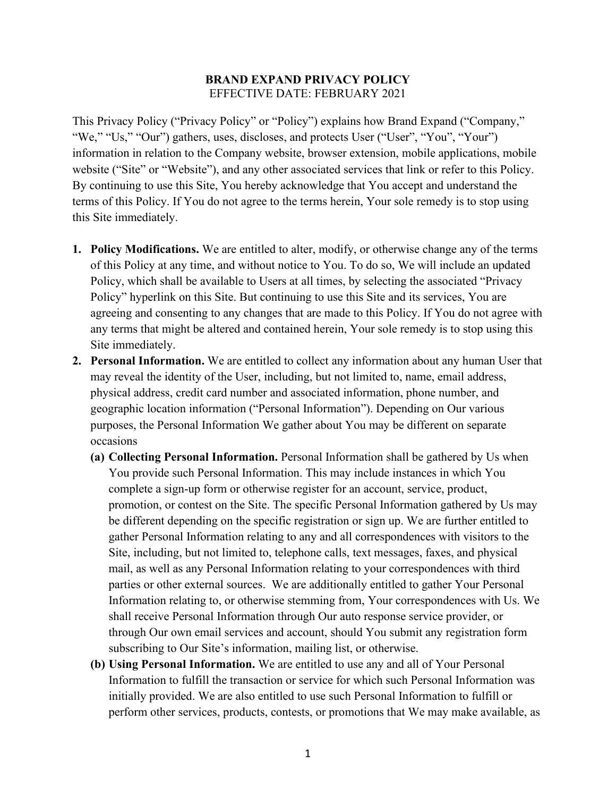## **BRAND EXPAND PRIVACY POLICY**  EFFECTIVE DATE: FEBRUARY 2021

This Privacy Policy ("Privacy Policy" or "Policy") explains how Brand Expand ("Company," "We," "Us," "Our") gathers, uses, discloses, and protects User ("User", "You", "Your") information in relation to the Company website, browser extension, mobile applications, mobile website ("Site" or "Website"), and any other associated services that link or refer to this Policy. By continuing to use this Site, You hereby acknowledge that You accept and understand the terms of this Policy. If You do not agree to the terms herein, Your sole remedy is to stop using this Site immediately.

- **1. Policy Modifications.** We are entitled to alter, modify, or otherwise change any of the terms of this Policy at any time, and without notice to You. To do so, We will include an updated Policy, which shall be available to Users at all times, by selecting the associated "Privacy Policy" hyperlink on this Site. But continuing to use this Site and its services, You are agreeing and consenting to any changes that are made to this Policy. If You do not agree with any terms that might be altered and contained herein, Your sole remedy is to stop using this Site immediately.
- **2. Personal Information.** We are entitled to collect any information about any human User that may reveal the identity of the User, including, but not limited to, name, email address, physical address, credit card number and associated information, phone number, and geographic location information ("Personal Information"). Depending on Our various purposes, the Personal Information We gather about You may be different on separate occasions
	- **(a) Collecting Personal Information.** Personal Information shall be gathered by Us when You provide such Personal Information. This may include instances in which You complete a sign-up form or otherwise register for an account, service, product, promotion, or contest on the Site. The specific Personal Information gathered by Us may be different depending on the specific registration or sign up. We are further entitled to gather Personal Information relating to any and all correspondences with visitors to the Site, including, but not limited to, telephone calls, text messages, faxes, and physical mail, as well as any Personal Information relating to your correspondences with third parties or other external sources. We are additionally entitled to gather Your Personal Information relating to, or otherwise stemming from, Your correspondences with Us. We shall receive Personal Information through Our auto response service provider, or through Our own email services and account, should You submit any registration form subscribing to Our Site's information, mailing list, or otherwise.
	- **(b) Using Personal Information.** We are entitled to use any and all of Your Personal Information to fulfill the transaction or service for which such Personal Information was initially provided. We are also entitled to use such Personal Information to fulfill or perform other services, products, contests, or promotions that We may make available, as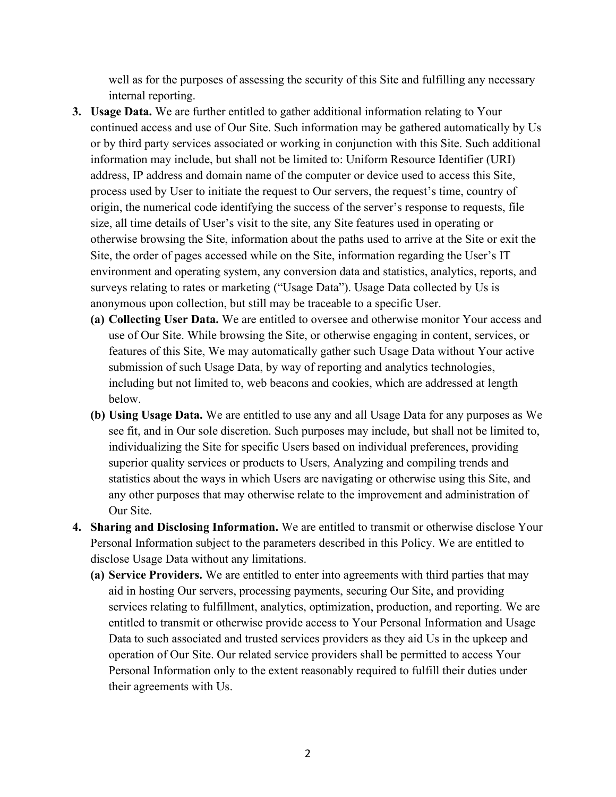well as for the purposes of assessing the security of this Site and fulfilling any necessary internal reporting.

- **3. Usage Data.** We are further entitled to gather additional information relating to Your continued access and use of Our Site. Such information may be gathered automatically by Us or by third party services associated or working in conjunction with this Site. Such additional information may include, but shall not be limited to: Uniform Resource Identifier (URI) address, IP address and domain name of the computer or device used to access this Site, process used by User to initiate the request to Our servers, the request's time, country of origin, the numerical code identifying the success of the server's response to requests, file size, all time details of User's visit to the site, any Site features used in operating or otherwise browsing the Site, information about the paths used to arrive at the Site or exit the Site, the order of pages accessed while on the Site, information regarding the User's IT environment and operating system, any conversion data and statistics, analytics, reports, and surveys relating to rates or marketing ("Usage Data"). Usage Data collected by Us is anonymous upon collection, but still may be traceable to a specific User.
	- **(a) Collecting User Data.** We are entitled to oversee and otherwise monitor Your access and use of Our Site. While browsing the Site, or otherwise engaging in content, services, or features of this Site, We may automatically gather such Usage Data without Your active submission of such Usage Data, by way of reporting and analytics technologies, including but not limited to, web beacons and cookies, which are addressed at length below.
	- **(b) Using Usage Data.** We are entitled to use any and all Usage Data for any purposes as We see fit, and in Our sole discretion. Such purposes may include, but shall not be limited to, individualizing the Site for specific Users based on individual preferences, providing superior quality services or products to Users, Analyzing and compiling trends and statistics about the ways in which Users are navigating or otherwise using this Site, and any other purposes that may otherwise relate to the improvement and administration of Our Site.
- **4. Sharing and Disclosing Information.** We are entitled to transmit or otherwise disclose Your Personal Information subject to the parameters described in this Policy. We are entitled to disclose Usage Data without any limitations.
	- **(a) Service Providers.** We are entitled to enter into agreements with third parties that may aid in hosting Our servers, processing payments, securing Our Site, and providing services relating to fulfillment, analytics, optimization, production, and reporting. We are entitled to transmit or otherwise provide access to Your Personal Information and Usage Data to such associated and trusted services providers as they aid Us in the upkeep and operation of Our Site. Our related service providers shall be permitted to access Your Personal Information only to the extent reasonably required to fulfill their duties under their agreements with Us.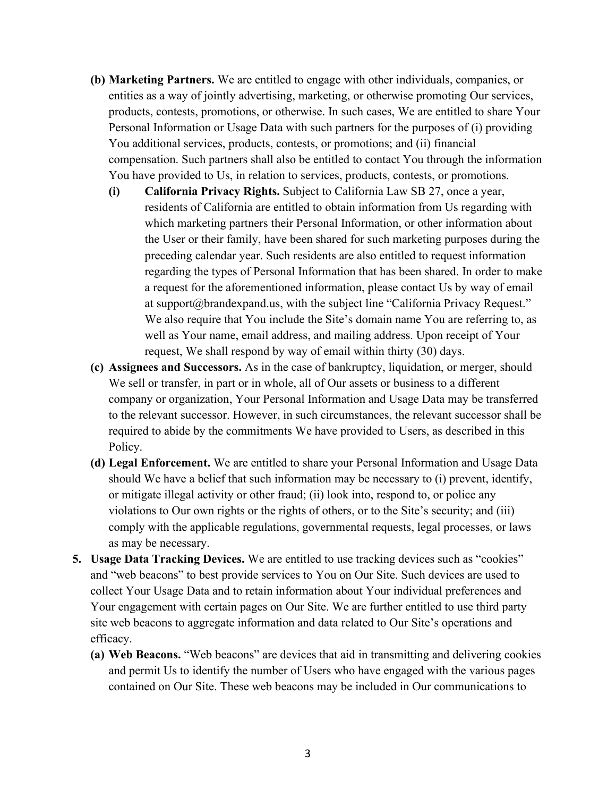- **(b) Marketing Partners.** We are entitled to engage with other individuals, companies, or entities as a way of jointly advertising, marketing, or otherwise promoting Our services, products, contests, promotions, or otherwise. In such cases, We are entitled to share Your Personal Information or Usage Data with such partners for the purposes of (i) providing You additional services, products, contests, or promotions; and (ii) financial compensation. Such partners shall also be entitled to contact You through the information You have provided to Us, in relation to services, products, contests, or promotions.
	- **(i) California Privacy Rights.** Subject to California Law SB 27, once a year, residents of California are entitled to obtain information from Us regarding with which marketing partners their Personal Information, or other information about the User or their family, have been shared for such marketing purposes during the preceding calendar year. Such residents are also entitled to request information regarding the types of Personal Information that has been shared. In order to make a request for the aforementioned information, please contact Us by way of email at support@brandexpand.us, with the subject line "California Privacy Request." We also require that You include the Site's domain name You are referring to, as well as Your name, email address, and mailing address. Upon receipt of Your request, We shall respond by way of email within thirty (30) days.
- **(c) Assignees and Successors.** As in the case of bankruptcy, liquidation, or merger, should We sell or transfer, in part or in whole, all of Our assets or business to a different company or organization, Your Personal Information and Usage Data may be transferred to the relevant successor. However, in such circumstances, the relevant successor shall be required to abide by the commitments We have provided to Users, as described in this Policy.
- **(d) Legal Enforcement.** We are entitled to share your Personal Information and Usage Data should We have a belief that such information may be necessary to (i) prevent, identify, or mitigate illegal activity or other fraud; (ii) look into, respond to, or police any violations to Our own rights or the rights of others, or to the Site's security; and (iii) comply with the applicable regulations, governmental requests, legal processes, or laws as may be necessary.
- **5. Usage Data Tracking Devices.** We are entitled to use tracking devices such as "cookies" and "web beacons" to best provide services to You on Our Site. Such devices are used to collect Your Usage Data and to retain information about Your individual preferences and Your engagement with certain pages on Our Site. We are further entitled to use third party site web beacons to aggregate information and data related to Our Site's operations and efficacy.
	- **(a) Web Beacons.** "Web beacons" are devices that aid in transmitting and delivering cookies and permit Us to identify the number of Users who have engaged with the various pages contained on Our Site. These web beacons may be included in Our communications to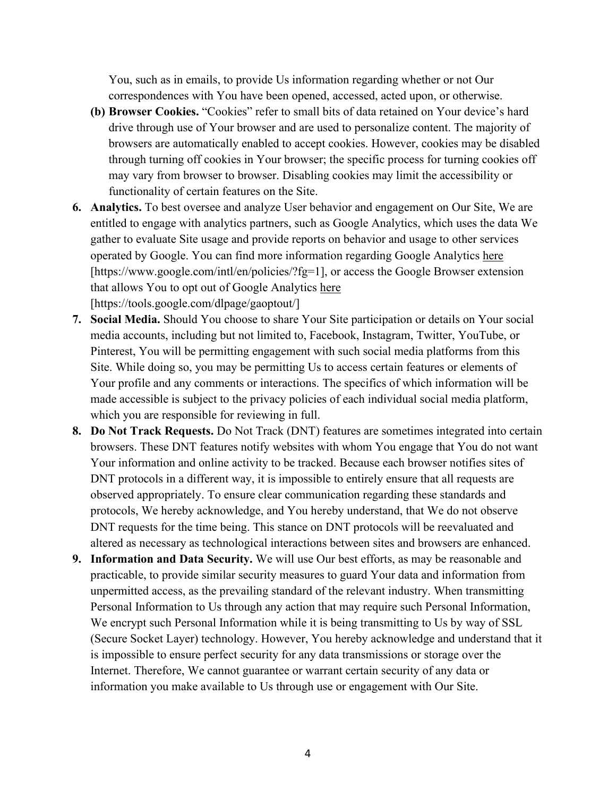You, such as in emails, to provide Us information regarding whether or not Our correspondences with You have been opened, accessed, acted upon, or otherwise.

- **(b) Browser Cookies.** "Cookies" refer to small bits of data retained on Your device's hard drive through use of Your browser and are used to personalize content. The majority of browsers are automatically enabled to accept cookies. However, cookies may be disabled through turning off cookies in Your browser; the specific process for turning cookies off may vary from browser to browser. Disabling cookies may limit the accessibility or functionality of certain features on the Site.
- **6. Analytics.** To best oversee and analyze User behavior and engagement on Our Site, We are entitled to engage with analytics partners, such as Google Analytics, which uses the data We gather to evaluate Site usage and provide reports on behavior and usage to other services operated by Google. You can find more information regarding Google Analytics [here](https://www.google.com/intl/en/policies/?fg=1) [https://www.google.com/intl/en/policies/?fg=1], or access the Google Browser extension that allows You to opt out of Google Analytics [here](https://tools.google.com/dlpage/gaoptout/) [https://tools.google.com/dlpage/gaoptout/]
- **7. Social Media.** Should You choose to share Your Site participation or details on Your social media accounts, including but not limited to, Facebook, Instagram, Twitter, YouTube, or Pinterest, You will be permitting engagement with such social media platforms from this Site. While doing so, you may be permitting Us to access certain features or elements of Your profile and any comments or interactions. The specifics of which information will be made accessible is subject to the privacy policies of each individual social media platform, which you are responsible for reviewing in full.
- **8. Do Not Track Requests.** Do Not Track (DNT) features are sometimes integrated into certain browsers. These DNT features notify websites with whom You engage that You do not want Your information and online activity to be tracked. Because each browser notifies sites of DNT protocols in a different way, it is impossible to entirely ensure that all requests are observed appropriately. To ensure clear communication regarding these standards and protocols, We hereby acknowledge, and You hereby understand, that We do not observe DNT requests for the time being. This stance on DNT protocols will be reevaluated and altered as necessary as technological interactions between sites and browsers are enhanced.
- **9. Information and Data Security.** We will use Our best efforts, as may be reasonable and practicable, to provide similar security measures to guard Your data and information from unpermitted access, as the prevailing standard of the relevant industry. When transmitting Personal Information to Us through any action that may require such Personal Information, We encrypt such Personal Information while it is being transmitting to Us by way of SSL (Secure Socket Layer) technology. However, You hereby acknowledge and understand that it is impossible to ensure perfect security for any data transmissions or storage over the Internet. Therefore, We cannot guarantee or warrant certain security of any data or information you make available to Us through use or engagement with Our Site.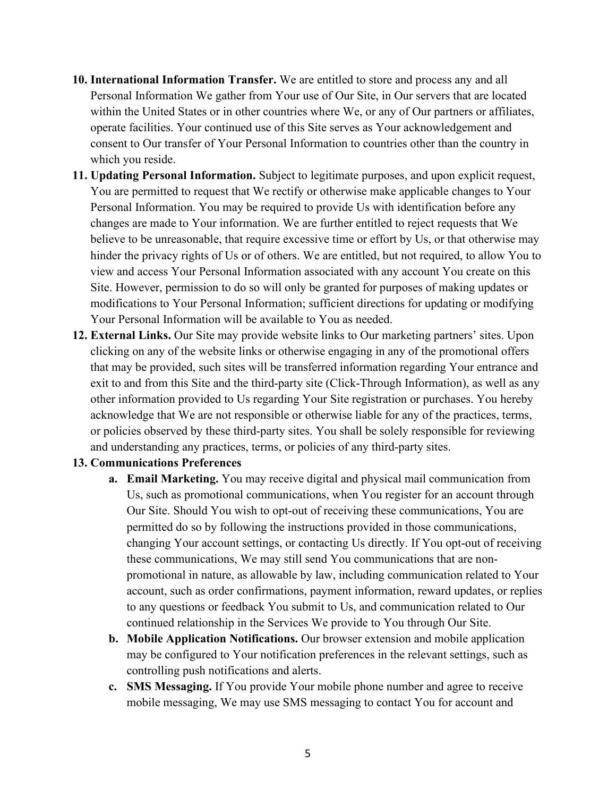- **10. International Information Transfer.** We are entitled to store and process any and all Personal Information We gather from Your use of Our Site, in Our servers that are located within the United States or in other countries where We, or any of Our partners or affiliates, operate facilities. Your continued use of this Site serves as Your acknowledgement and consent to Our transfer of Your Personal Information to countries other than the country in which you reside.
- **11. Updating Personal Information.** Subject to legitimate purposes, and upon explicit request, You are permitted to request that We rectify or otherwise make applicable changes to Your Personal Information. You may be required to provide Us with identification before any changes are made to Your information. We are further entitled to reject requests that We believe to be unreasonable, that require excessive time or effort by Us, or that otherwise may hinder the privacy rights of Us or of others. We are entitled, but not required, to allow You to view and access Your Personal Information associated with any account You create on this Site. However, permission to do so will only be granted for purposes of making updates or modifications to Your Personal Information; sufficient directions for updating or modifying Your Personal Information will be available to You as needed.
- **12. External Links.** Our Site may provide website links to Our marketing partners' sites. Upon clicking on any of the website links or otherwise engaging in any of the promotional offers that may be provided, such sites will be transferred information regarding Your entrance and exit to and from this Site and the third-party site (Click-Through Information), as well as any other information provided to Us regarding Your Site registration or purchases. You hereby acknowledge that We are not responsible or otherwise liable for any of the practices, terms, or policies observed by these third-party sites. You shall be solely responsible for reviewing and understanding any practices, terms, or policies of any third-party sites.

## **13. Communications Preferences**

- **a. Email Marketing.** You may receive digital and physical mail communication from Us, such as promotional communications, when You register for an account through Our Site. Should You wish to opt-out of receiving these communications, You are permitted do so by following the instructions provided in those communications, changing Your account settings, or contacting Us directly. If You opt-out of receiving these communications, We may still send You communications that are nonpromotional in nature, as allowable by law, including communication related to Your account, such as order confirmations, payment information, reward updates, or replies to any questions or feedback You submit to Us, and communication related to Our continued relationship in the Services We provide to You through Our Site.
- **b. Mobile Application Notifications.** Our browser extension and mobile application may be configured to Your notification preferences in the relevant settings, such as controlling push notifications and alerts.
- **c. SMS Messaging.** If You provide Your mobile phone number and agree to receive mobile messaging, We may use SMS messaging to contact You for account and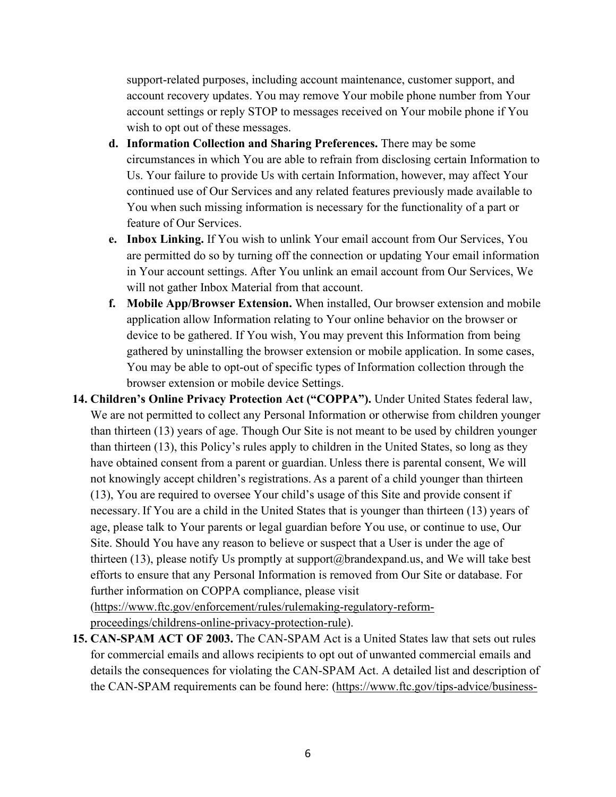support-related purposes, including account maintenance, customer support, and account recovery updates. You may remove Your mobile phone number from Your account settings or reply STOP to messages received on Your mobile phone if You wish to opt out of these messages.

- **d. Information Collection and Sharing Preferences.** There may be some circumstances in which You are able to refrain from disclosing certain Information to Us. Your failure to provide Us with certain Information, however, may affect Your continued use of Our Services and any related features previously made available to You when such missing information is necessary for the functionality of a part or feature of Our Services.
- **e. Inbox Linking.** If You wish to unlink Your email account from Our Services, You are permitted do so by turning off the connection or updating Your email information in Your account settings. After You unlink an email account from Our Services, We will not gather Inbox Material from that account.
- **f. Mobile App/Browser Extension.** When installed, Our browser extension and mobile application allow Information relating to Your online behavior on the browser or device to be gathered. If You wish, You may prevent this Information from being gathered by uninstalling the browser extension or mobile application. In some cases, You may be able to opt-out of specific types of Information collection through the browser extension or mobile device Settings.
- **14. Children's Online Privacy Protection Act ("COPPA").** Under United States federal law, We are not permitted to collect any Personal Information or otherwise from children younger than thirteen (13) years of age. Though Our Site is not meant to be used by children younger than thirteen (13), this Policy's rules apply to children in the United States, so long as they have obtained consent from a parent or guardian. Unless there is parental consent, We will not knowingly accept children's registrations. As a parent of a child younger than thirteen (13), You are required to oversee Your child's usage of this Site and provide consent if necessary. If You are a child in the United States that is younger than thirteen (13) years of age, please talk to Your parents or legal guardian before You use, or continue to use, Our Site. Should You have any reason to believe or suspect that a User is under the age of thirteen (13), please notify Us promptly at support@brandexpand.us, and We will take best efforts to ensure that any Personal Information is removed from Our Site or database. For further information on COPPA compliance, please visit

[\(https://www.ftc.gov/enforcement/rules/rulemaking-regulatory-reform](https://www.ftc.gov/enforcement/rules/rulemaking-regulatory-reform-proceedings/childrens-online-privacy-protection-rule)[proceedings/childrens-online-privacy-protection-rule\)](https://www.ftc.gov/enforcement/rules/rulemaking-regulatory-reform-proceedings/childrens-online-privacy-protection-rule).

**15. CAN-SPAM ACT OF 2003.** The CAN-SPAM Act is a United States law that sets out rules for commercial emails and allows recipients to opt out of unwanted commercial emails and details the consequences for violating the CAN-SPAM Act. A detailed list and description of the CAN-SPAM requirements can be found here: [\(https://www.ftc.gov/tips-advice/business-](https://www.ftc.gov/tips-advice/business-center/guidance/can-spam-act-compliance-guide-business)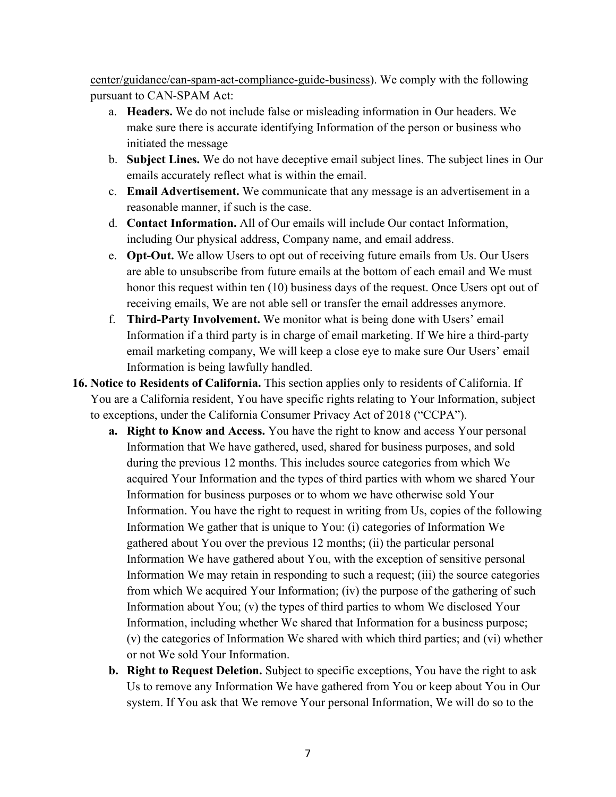[center/guidance/can-spam-act-compliance-guide-business\)](https://www.ftc.gov/tips-advice/business-center/guidance/can-spam-act-compliance-guide-business). We comply with the following pursuant to CAN-SPAM Act:

- a. **Headers.** We do not include false or misleading information in Our headers. We make sure there is accurate identifying Information of the person or business who initiated the message
- b. **Subject Lines.** We do not have deceptive email subject lines. The subject lines in Our emails accurately reflect what is within the email.
- c. **Email Advertisement.** We communicate that any message is an advertisement in a reasonable manner, if such is the case.
- d. **Contact Information.** All of Our emails will include Our contact Information, including Our physical address, Company name, and email address.
- e. **Opt-Out.** We allow Users to opt out of receiving future emails from Us. Our Users are able to unsubscribe from future emails at the bottom of each email and We must honor this request within ten (10) business days of the request. Once Users opt out of receiving emails, We are not able sell or transfer the email addresses anymore.
- f. **Third-Party Involvement.** We monitor what is being done with Users' email Information if a third party is in charge of email marketing. If We hire a third-party email marketing company, We will keep a close eye to make sure Our Users' email Information is being lawfully handled.
- **16. Notice to Residents of California.** This section applies only to residents of California. If You are a California resident, You have specific rights relating to Your Information, subject to exceptions, under the California Consumer Privacy Act of 2018 ("CCPA").
	- **a. Right to Know and Access.** You have the right to know and access Your personal Information that We have gathered, used, shared for business purposes, and sold during the previous 12 months. This includes source categories from which We acquired Your Information and the types of third parties with whom we shared Your Information for business purposes or to whom we have otherwise sold Your Information. You have the right to request in writing from Us, copies of the following Information We gather that is unique to You: (i) categories of Information We gathered about You over the previous 12 months; (ii) the particular personal Information We have gathered about You, with the exception of sensitive personal Information We may retain in responding to such a request; (iii) the source categories from which We acquired Your Information; (iv) the purpose of the gathering of such Information about You; (v) the types of third parties to whom We disclosed Your Information, including whether We shared that Information for a business purpose; (v) the categories of Information We shared with which third parties; and (vi) whether or not We sold Your Information.
	- **b. Right to Request Deletion.** Subject to specific exceptions, You have the right to ask Us to remove any Information We have gathered from You or keep about You in Our system. If You ask that We remove Your personal Information, We will do so to the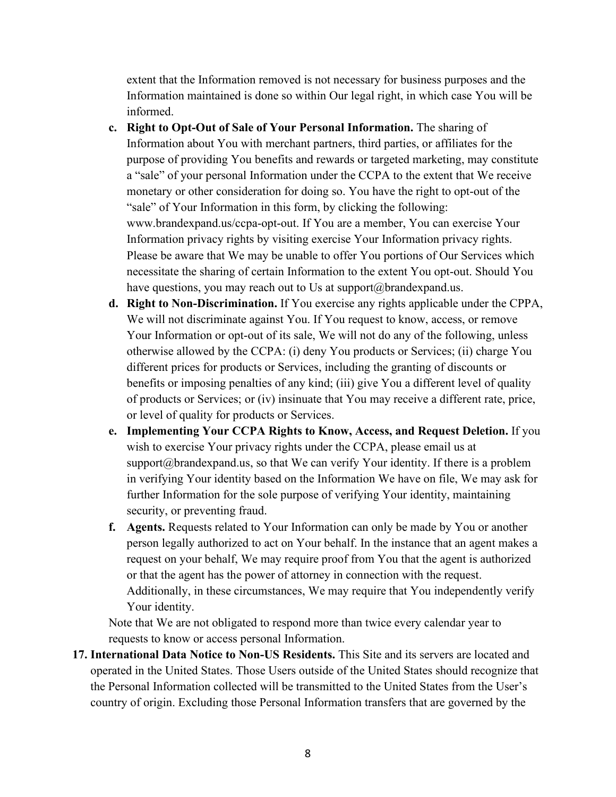extent that the Information removed is not necessary for business purposes and the Information maintained is done so within Our legal right, in which case You will be informed.

- **c. Right to Opt-Out of Sale of Your Personal Information.** The sharing of Information about You with merchant partners, third parties, or affiliates for the purpose of providing You benefits and rewards or targeted marketing, may constitute a "sale" of your personal Information under the CCPA to the extent that We receive monetary or other consideration for doing so. You have the right to opt-out of the "sale" of Your Information in this form, by clicking the following: www.brandexpand.us/ccpa-opt-out. If You are a member, You can exercise Your Information privacy rights by visiting exercise Your Information privacy rights. Please be aware that We may be unable to offer You portions of Our Services which necessitate the sharing of certain Information to the extent You opt-out. Should You have questions, you may reach out to Us at support@brandexpand.us.
- **d. Right to Non-Discrimination.** If You exercise any rights applicable under the CPPA, We will not discriminate against You. If You request to know, access, or remove Your Information or opt-out of its sale, We will not do any of the following, unless otherwise allowed by the CCPA: (i) deny You products or Services; (ii) charge You different prices for products or Services, including the granting of discounts or benefits or imposing penalties of any kind; (iii) give You a different level of quality of products or Services; or (iv) insinuate that You may receive a different rate, price, or level of quality for products or Services.
- **e. Implementing Your CCPA Rights to Know, Access, and Request Deletion.** If you wish to exercise Your privacy rights under the CCPA, please email us at support $@$ brandexpand.us, so that We can verify Your identity. If there is a problem in verifying Your identity based on the Information We have on file, We may ask for further Information for the sole purpose of verifying Your identity, maintaining security, or preventing fraud.
- **f. Agents.** Requests related to Your Information can only be made by You or another person legally authorized to act on Your behalf. In the instance that an agent makes a request on your behalf, We may require proof from You that the agent is authorized or that the agent has the power of attorney in connection with the request. Additionally, in these circumstances, We may require that You independently verify Your identity.

Note that We are not obligated to respond more than twice every calendar year to requests to know or access personal Information.

**17. International Data Notice to Non-US Residents.** This Site and its servers are located and operated in the United States. Those Users outside of the United States should recognize that the Personal Information collected will be transmitted to the United States from the User's country of origin. Excluding those Personal Information transfers that are governed by the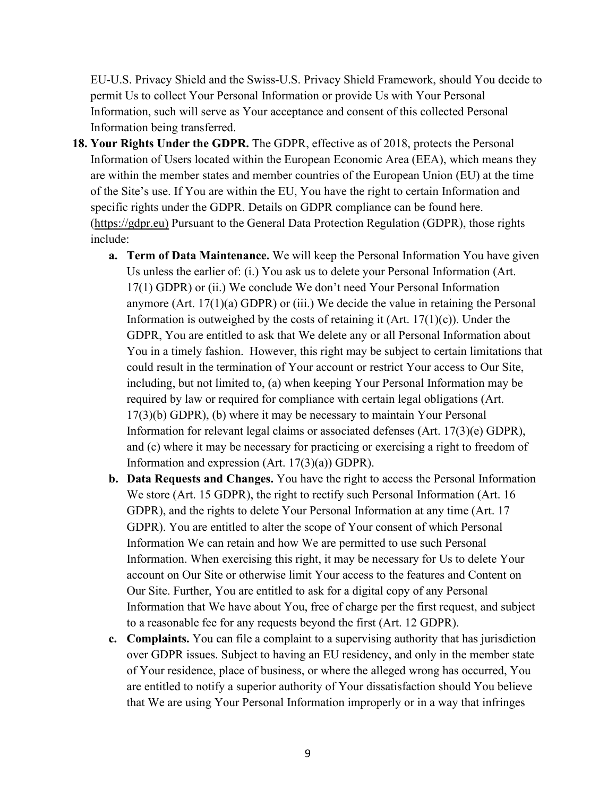EU-U.S. Privacy Shield and the Swiss-U.S. Privacy Shield Framework, should You decide to permit Us to collect Your Personal Information or provide Us with Your Personal Information, such will serve as Your acceptance and consent of this collected Personal Information being transferred.

- **18. Your Rights Under the GDPR.** The GDPR, effective as of 2018, protects the Personal Information of Users located within the European Economic Area (EEA), which means they are within the member states and member countries of the European Union (EU) at the time of the Site's use. If You are within the EU, You have the right to certain Information and specific rights under the GDPR. Details on GDPR compliance can be found here. [\(https://gdpr.eu\)](https://gdpr.eu)/) Pursuant to the General Data Protection Regulation (GDPR), those rights include:
	- **a. Term of Data Maintenance.** We will keep the Personal Information You have given Us unless the earlier of: (i.) You ask us to delete your Personal Information (Art. 17(1) GDPR) or (ii.) We conclude We don't need Your Personal Information anymore (Art. 17(1)(a) GDPR) or (iii.) We decide the value in retaining the Personal Information is outweighed by the costs of retaining it (Art.  $17(1)(c)$ ). Under the GDPR, You are entitled to ask that We delete any or all Personal Information about You in a timely fashion. However, this right may be subject to certain limitations that could result in the termination of Your account or restrict Your access to Our Site, including, but not limited to, (a) when keeping Your Personal Information may be required by law or required for compliance with certain legal obligations (Art. 17(3)(b) GDPR), (b) where it may be necessary to maintain Your Personal Information for relevant legal claims or associated defenses (Art. 17(3)(e) GDPR), and (c) where it may be necessary for practicing or exercising a right to freedom of Information and expression  $(Art. 17(3)(a))$  GDPR).
	- **b. Data Requests and Changes.** You have the right to access the Personal Information We store (Art. 15 GDPR), the right to rectify such Personal Information (Art. 16 GDPR), and the rights to delete Your Personal Information at any time (Art. 17 GDPR). You are entitled to alter the scope of Your consent of which Personal Information We can retain and how We are permitted to use such Personal Information. When exercising this right, it may be necessary for Us to delete Your account on Our Site or otherwise limit Your access to the features and Content on Our Site. Further, You are entitled to ask for a digital copy of any Personal Information that We have about You, free of charge per the first request, and subject to a reasonable fee for any requests beyond the first (Art. 12 GDPR).
	- **c. Complaints.** You can file a complaint to a supervising authority that has jurisdiction over GDPR issues. Subject to having an EU residency, and only in the member state of Your residence, place of business, or where the alleged wrong has occurred, You are entitled to notify a superior authority of Your dissatisfaction should You believe that We are using Your Personal Information improperly or in a way that infringes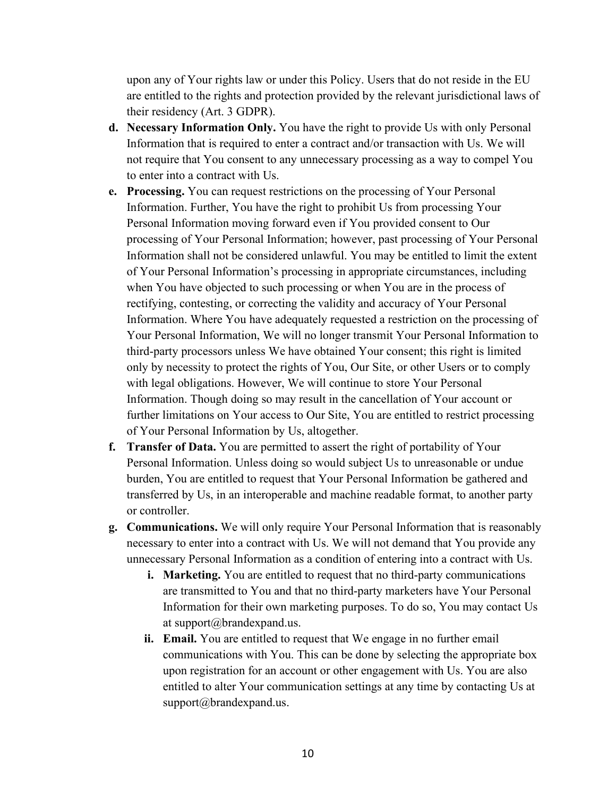upon any of Your rights law or under this Policy. Users that do not reside in the EU are entitled to the rights and protection provided by the relevant jurisdictional laws of their residency (Art. 3 GDPR).

- **d. Necessary Information Only.** You have the right to provide Us with only Personal Information that is required to enter a contract and/or transaction with Us. We will not require that You consent to any unnecessary processing as a way to compel You to enter into a contract with Us.
- **e. Processing.** You can request restrictions on the processing of Your Personal Information. Further, You have the right to prohibit Us from processing Your Personal Information moving forward even if You provided consent to Our processing of Your Personal Information; however, past processing of Your Personal Information shall not be considered unlawful. You may be entitled to limit the extent of Your Personal Information's processing in appropriate circumstances, including when You have objected to such processing or when You are in the process of rectifying, contesting, or correcting the validity and accuracy of Your Personal Information. Where You have adequately requested a restriction on the processing of Your Personal Information, We will no longer transmit Your Personal Information to third-party processors unless We have obtained Your consent; this right is limited only by necessity to protect the rights of You, Our Site, or other Users or to comply with legal obligations. However, We will continue to store Your Personal Information. Though doing so may result in the cancellation of Your account or further limitations on Your access to Our Site, You are entitled to restrict processing of Your Personal Information by Us, altogether.
- **f. Transfer of Data.** You are permitted to assert the right of portability of Your Personal Information. Unless doing so would subject Us to unreasonable or undue burden, You are entitled to request that Your Personal Information be gathered and transferred by Us, in an interoperable and machine readable format, to another party or controller.
- **g. Communications.** We will only require Your Personal Information that is reasonably necessary to enter into a contract with Us. We will not demand that You provide any unnecessary Personal Information as a condition of entering into a contract with Us.
	- **i. Marketing.** You are entitled to request that no third-party communications are transmitted to You and that no third-party marketers have Your Personal Information for their own marketing purposes. To do so, You may contact Us at support@brandexpand.us.
	- **ii. Email.** You are entitled to request that We engage in no further email communications with You. This can be done by selecting the appropriate box upon registration for an account or other engagement with Us. You are also entitled to alter Your communication settings at any time by contacting Us at support@brandexpand.us.